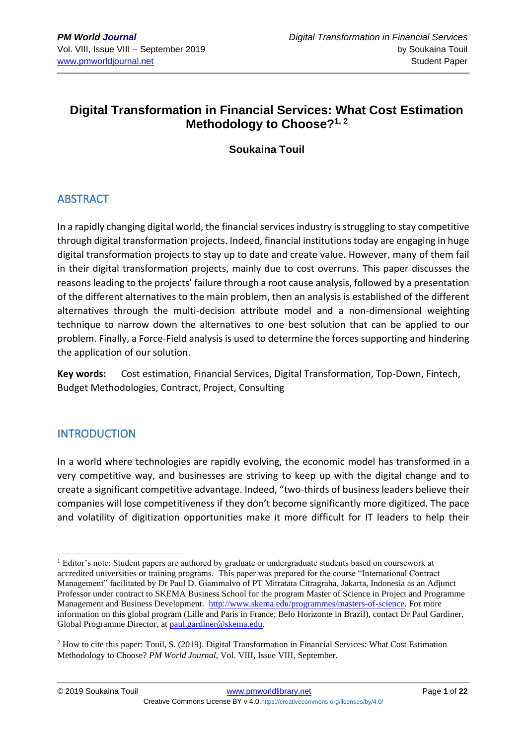# **Digital Transformation in Financial Services: What Cost Estimation Methodology to Choose?1, 2**

# **Soukaina Touil**

# **ABSTRACT**

In a rapidly changing digital world, the financial services industry is struggling to stay competitive through digital transformation projects. Indeed, financial institutions today are engaging in huge digital transformation projects to stay up to date and create value. However, many of them fail in their digital transformation projects, mainly due to cost overruns. This paper discusses the reasons leading to the projects' failure through a root cause analysis, followed by a presentation of the different alternatives to the main problem, then an analysis is established of the different alternatives through the multi-decision attribute model and a non-dimensional weighting technique to narrow down the alternatives to one best solution that can be applied to our problem. Finally, a Force-Field analysis is used to determine the forces supporting and hindering the application of our solution.

**Key words:** Cost estimation, Financial Services, Digital Transformation, Top-Down, Fintech, Budget Methodologies, Contract, Project, Consulting

# **INTRODUCTION**

In a world where technologies are rapidly evolving, the economic model has transformed in a very competitive way, and businesses are striving to keep up with the digital change and to create a significant competitive advantage. Indeed, "two-thirds of business leaders believe their companies will lose competitiveness if they don't become significantly more digitized. The pace and volatility of digitization opportunities make it more difficult for IT leaders to help their

<sup>&</sup>lt;sup>1</sup> Editor's note: Student papers are authored by graduate or undergraduate students based on coursework at accredited universities or training programs. This paper was prepared for the course "International Contract Management" facilitated by Dr Paul D. Giammalvo of PT Mitratata Citragraha, Jakarta, Indonesia as an Adjunct Professor under contract to SKEMA Business School for the program Master of Science in Project and Programme Management and Business Development. [http://www.skema.edu/programmes/masters-of-science.](http://www.skema.edu/programmes/masters-of-science) For more information on this global program (Lille and Paris in France; Belo Horizonte in Brazil), contact Dr Paul Gardiner, Global Programme Director, a[t paul.gardiner@skema.edu.](mailto:paul.gardiner@skema.edu)

<sup>&</sup>lt;sup>2</sup> How to cite this paper: Touil, S. (2019). Digital Transformation in Financial Services: What Cost Estimation Methodology to Choose? *PM World Journal*, Vol. VIII, Issue VIII, September.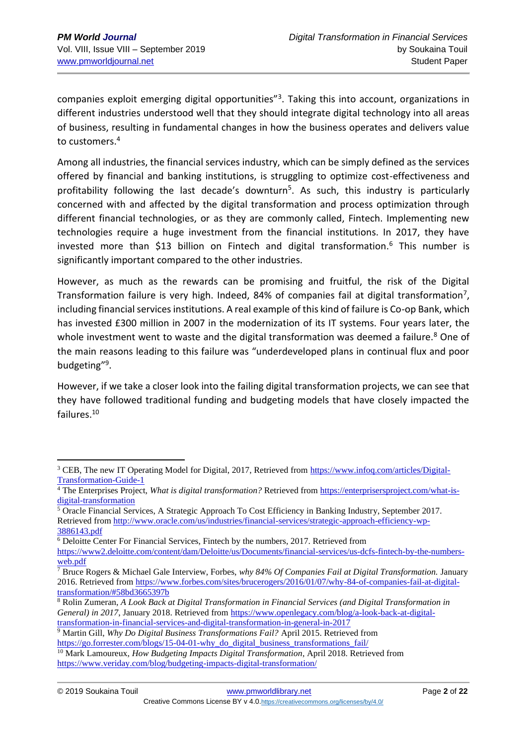companies exploit emerging digital opportunities"<sup>3</sup>. Taking this into account, organizations in different industries understood well that they should integrate digital technology into all areas of business, resulting in fundamental changes in how the business operates and delivers value to customers.<sup>4</sup>

Among all industries, the financial services industry, which can be simply defined as the services offered by financial and banking institutions, is struggling to optimize cost-effectiveness and profitability following the last decade's downturn<sup>5</sup>. As such, this industry is particularly concerned with and affected by the digital transformation and process optimization through different financial technologies, or as they are commonly called, Fintech. Implementing new technologies require a huge investment from the financial institutions. In 2017, they have invested more than \$13 billion on Fintech and digital transformation.<sup>6</sup> This number is significantly important compared to the other industries.

However, as much as the rewards can be promising and fruitful, the risk of the Digital Transformation failure is very high. Indeed, 84% of companies fail at digital transformation<sup>7</sup>, including financial services institutions. A real example of this kind of failure is Co-op Bank, which has invested £300 million in 2007 in the modernization of its IT systems. Four years later, the whole investment went to waste and the digital transformation was deemed a failure.<sup>8</sup> One of the main reasons leading to this failure was "underdeveloped plans in continual flux and poor budgeting"<sup>9</sup>.

However, if we take a closer look into the failing digital transformation projects, we can see that they have followed traditional funding and budgeting models that have closely impacted the failures.<sup>10</sup>

<sup>6</sup> Deloitte Center For Financial Services, Fintech by the numbers, 2017. Retrieved from [https://www2.deloitte.com/content/dam/Deloitte/us/Documents/financial-services/us-dcfs-fintech-by-the-numbers](https://www2.deloitte.com/content/dam/Deloitte/us/Documents/financial-services/us-dcfs-fintech-by-the-numbers-web.pdf)[web.pdf](https://www2.deloitte.com/content/dam/Deloitte/us/Documents/financial-services/us-dcfs-fintech-by-the-numbers-web.pdf)

Creative Commons License BY v 4.0.<https://creativecommons.org/licenses/by/4.0/>

<sup>&</sup>lt;sup>3</sup> CEB, The new IT Operating Model for Digital, 2017, Retrieved from [https://www.infoq.com/articles/Digital-](https://www.infoq.com/articles/Digital-Transformation-Guide-1)[Transformation-Guide-1](https://www.infoq.com/articles/Digital-Transformation-Guide-1)

<sup>&</sup>lt;sup>4</sup> The Enterprises Project, *What is digital transformation?* Retrieved fro[m https://enterprisersproject.com/what-is](https://enterprisersproject.com/what-is-digital-transformation)[digital-transformation](https://enterprisersproject.com/what-is-digital-transformation)

<sup>5</sup> Oracle Financial Services, A Strategic Approach To Cost Efficiency in Banking Industry, September 2017. Retrieved from [http://www.oracle.com/us/industries/financial-services/strategic-approach-efficiency-wp-](http://www.oracle.com/us/industries/financial-services/strategic-approach-efficiency-wp-3886143.pdf)[3886143.pdf](http://www.oracle.com/us/industries/financial-services/strategic-approach-efficiency-wp-3886143.pdf)

<sup>7</sup> Bruce Rogers & Michael Gale Interview, Forbes, *why 84% Of Companies Fail at Digital Transformation.* January 2016. Retrieved from [https://www.forbes.com/sites/brucerogers/2016/01/07/why-84-of-companies-fail-at-digital](https://www.forbes.com/sites/brucerogers/2016/01/07/why-84-of-companies-fail-at-digital-transformation/#58bd3665397b)[transformation/#58bd3665397b](https://www.forbes.com/sites/brucerogers/2016/01/07/why-84-of-companies-fail-at-digital-transformation/#58bd3665397b)

<sup>8</sup> Rolin Zumeran, *A Look Back at Digital Transformation in Financial Services (and Digital Transformation in General) in 2017*, January 2018. Retrieved from [https://www.openlegacy.com/blog/a-look-back-at-digital](https://www.openlegacy.com/blog/a-look-back-at-digital-transformation-in-financial-services-and-digital-transformation-in-general-in-2017)[transformation-in-financial-services-and-digital-transformation-in-general-in-2017](https://www.openlegacy.com/blog/a-look-back-at-digital-transformation-in-financial-services-and-digital-transformation-in-general-in-2017)

<sup>9</sup> Martin Gill, *Why Do Digital Business Transformations Fail?* April 2015. Retrieved from [https://go.forrester.com/blogs/15-04-01-why\\_do\\_digital\\_business\\_transformations\\_fail/](https://go.forrester.com/blogs/15-04-01-why_do_digital_business_transformations_fail/)

<sup>10</sup> Mark Lamoureux, *How Budgeting Impacts Digital Transformation*, April 2018. Retrieved from <https://www.veriday.com/blog/budgeting-impacts-digital-transformation/>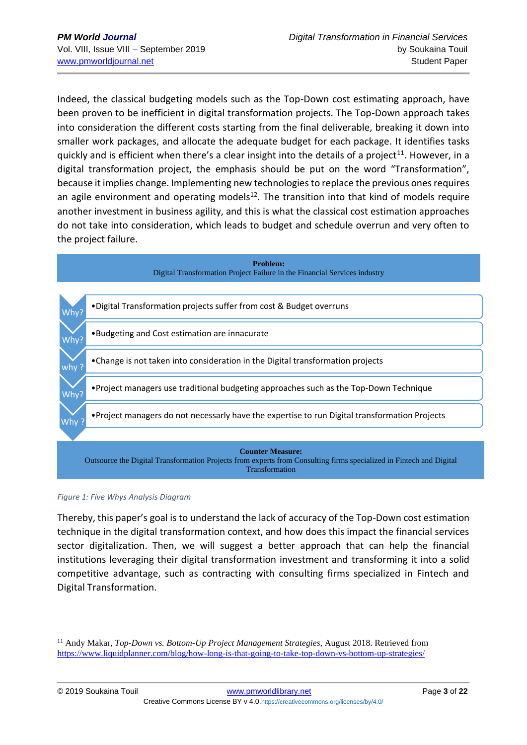Indeed, the classical budgeting models such as the Top-Down cost estimating approach, have been proven to be inefficient in digital transformation projects. The Top-Down approach takes into consideration the different costs starting from the final deliverable, breaking it down into smaller work packages, and allocate the adequate budget for each package. It identifies tasks quickly and is efficient when there's a clear insight into the details of a project<sup>11</sup>. However, in a digital transformation project, the emphasis should be put on the word "Transformation", because it implies change. Implementing new technologies to replace the previous ones requires an agile environment and operating models<sup>12</sup>. The transition into that kind of models require another investment in business agility, and this is what the classical cost estimation approaches do not take into consideration, which leads to budget and schedule overrun and very often to the project failure.



#### *Figure 1: Five Whys Analysis Diagram*

Thereby, this paper's goal is to understand the lack of accuracy of the Top-Down cost estimation technique in the digital transformation context, and how does this impact the financial services sector digitalization. Then, we will suggest a better approach that can help the financial institutions leveraging their digital transformation investment and transforming it into a solid competitive advantage, such as contracting with consulting firms specialized in Fintech and Digital Transformation.

<sup>&</sup>lt;sup>11</sup> Andy Makar, *Top-Down vs. Bottom-Up Project Management Strategies*, August 2018. Retrieved from <https://www.liquidplanner.com/blog/how-long-is-that-going-to-take-top-down-vs-bottom-up-strategies/>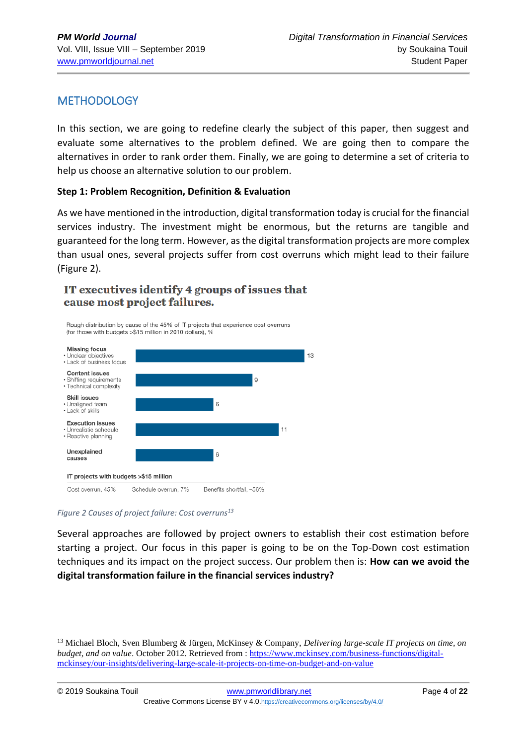# **METHODOLOGY**

In this section, we are going to redefine clearly the subject of this paper, then suggest and evaluate some alternatives to the problem defined. We are going then to compare the alternatives in order to rank order them. Finally, we are going to determine a set of criteria to help us choose an alternative solution to our problem.

#### **Step 1: Problem Recognition, Definition & Evaluation**

As we have mentioned in the introduction, digital transformation today is crucial for the financial services industry. The investment might be enormous, but the returns are tangible and guaranteed for the long term. However, as the digital transformation projects are more complex than usual ones, several projects suffer from cost overruns which might lead to their failure (Figure 2).

## IT executives identify 4 groups of issues that cause most project failures.



#### *Figure 2 Causes of project failure: Cost overruns<sup>13</sup>*

Several approaches are followed by project owners to establish their cost estimation before starting a project. Our focus in this paper is going to be on the Top-Down cost estimation techniques and its impact on the project success. Our problem then is: **How can we avoid the digital transformation failure in the financial services industry?**

<sup>13</sup> Michael Bloch, Sven Blumberg & Jürgen, McKinsey & Company, *Delivering large-scale IT projects on time, on budget, and on value.* October 2012. Retrieved from : [https://www.mckinsey.com/business-functions/digital](https://www.mckinsey.com/business-functions/digital-mckinsey/our-insights/delivering-large-scale-it-projects-on-time-on-budget-and-on-value)[mckinsey/our-insights/delivering-large-scale-it-projects-on-time-on-budget-and-on-value](https://www.mckinsey.com/business-functions/digital-mckinsey/our-insights/delivering-large-scale-it-projects-on-time-on-budget-and-on-value)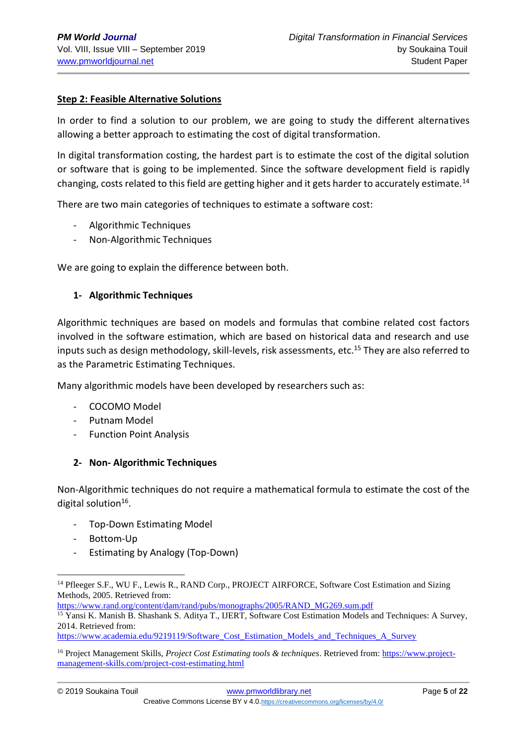## **Step 2: Feasible Alternative Solutions**

In order to find a solution to our problem, we are going to study the different alternatives allowing a better approach to estimating the cost of digital transformation.

In digital transformation costing, the hardest part is to estimate the cost of the digital solution or software that is going to be implemented. Since the software development field is rapidly changing, costs related to this field are getting higher and it gets harder to accurately estimate.<sup>14</sup>

There are two main categories of techniques to estimate a software cost:

- Algorithmic Techniques
- Non-Algorithmic Techniques

We are going to explain the difference between both.

#### **1- Algorithmic Techniques**

Algorithmic techniques are based on models and formulas that combine related cost factors involved in the software estimation, which are based on historical data and research and use inputs such as design methodology, skill-levels, risk assessments, etc.<sup>15</sup> They are also referred to as the Parametric Estimating Techniques.

Many algorithmic models have been developed by researchers such as:

- COCOMO Model
- Putnam Model
- Function Point Analysis

#### **2- Non- Algorithmic Techniques**

Non-Algorithmic techniques do not require a mathematical formula to estimate the cost of the digital solution<sup>16</sup>.

- Top-Down Estimating Model
- Bottom-Up
- Estimating by Analogy (Top-Down)

[https://www.rand.org/content/dam/rand/pubs/monographs/2005/RAND\\_MG269.sum.pdf](https://www.rand.org/content/dam/rand/pubs/monographs/2005/RAND_MG269.sum.pdf)

[https://www.academia.edu/9219119/Software\\_Cost\\_Estimation\\_Models\\_and\\_Techniques\\_A\\_Survey](https://www.academia.edu/9219119/Software_Cost_Estimation_Models_and_Techniques_A_Survey)

<sup>&</sup>lt;sup>14</sup> Pfleeger S.F., WU F., Lewis R., RAND Corp., PROJECT AIRFORCE, Software Cost Estimation and Sizing Methods, 2005. Retrieved from:

<sup>15</sup> Yansi K. Manish B. Shashank S. Aditya T., IJERT, Software Cost Estimation Models and Techniques: A Survey, 2014. Retrieved from:

<sup>16</sup> Project Management Skills, *Project Cost Estimating tools & techniques*. Retrieved from: [https://www.project](https://www.project-management-skills.com/project-cost-estimating.html)[management-skills.com/project-cost-estimating.html](https://www.project-management-skills.com/project-cost-estimating.html)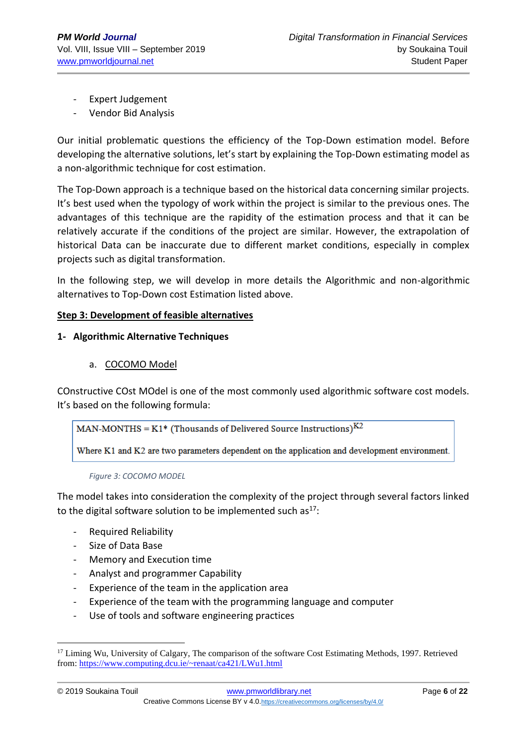- Expert Judgement
- Vendor Bid Analysis

Our initial problematic questions the efficiency of the Top-Down estimation model. Before developing the alternative solutions, let's start by explaining the Top-Down estimating model as a non-algorithmic technique for cost estimation.

The Top-Down approach is a technique based on the historical data concerning similar projects. It's best used when the typology of work within the project is similar to the previous ones. The advantages of this technique are the rapidity of the estimation process and that it can be relatively accurate if the conditions of the project are similar. However, the extrapolation of historical Data can be inaccurate due to different market conditions, especially in complex projects such as digital transformation.

In the following step, we will develop in more details the Algorithmic and non-algorithmic alternatives to Top-Down cost Estimation listed above.

## **Step 3: Development of feasible alternatives**

## **1- Algorithmic Alternative Techniques**

a. COCOMO Model

COnstructive COst MOdel is one of the most commonly used algorithmic software cost models. It's based on the following formula:

MAN-MONTHS =  $K1*$  (Thousands of Delivered Source Instructions)<sup>K2</sup>

Where K1 and K2 are two parameters dependent on the application and development environment.

#### *Figure 3: COCOMO MODEL*

The model takes into consideration the complexity of the project through several factors linked to the digital software solution to be implemented such as $17$ :

- Required Reliability
- Size of Data Base
- Memory and Execution time
- Analyst and programmer Capability
- Experience of the team in the application area
- Experience of the team with the programming language and computer
- Use of tools and software engineering practices

<sup>&</sup>lt;sup>17</sup> Liming Wu, University of Calgary, The comparison of the software Cost Estimating Methods, 1997. Retrieved from[: https://www.computing.dcu.ie/~renaat/ca421/LWu1.html](https://www.computing.dcu.ie/~renaat/ca421/LWu1.html)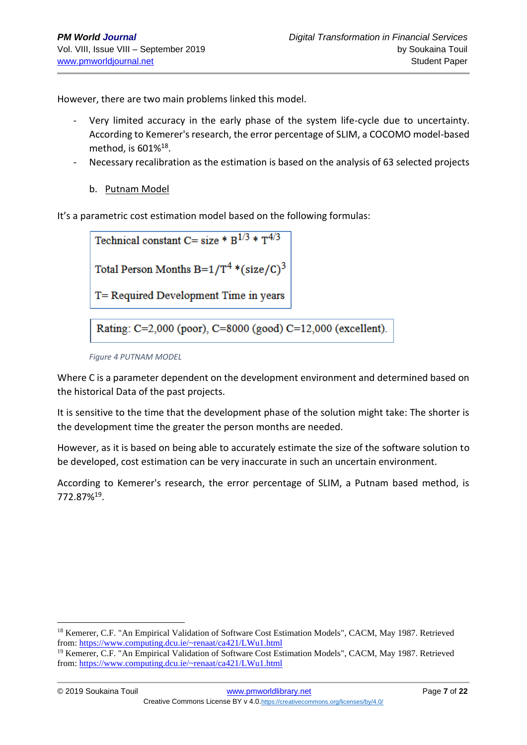However, there are two main problems linked this model.

- Very limited accuracy in the early phase of the system life-cycle due to uncertainty. According to Kemerer's research, the error percentage of SLIM, a COCOMO model-based method, is 601%<sup>18</sup>.
- Necessary recalibration as the estimation is based on the analysis of 63 selected projects
	- b. Putnam Model

It's a parametric cost estimation model based on the following formulas:

Technical constant C= size \*  $B^{1/3}$  \*  $T^{4/3}$ 

Total Person Months B= $1/T^4$  \*(size/C)<sup>3</sup>

T= Required Development Time in years

Rating: C=2,000 (poor), C=8000 (good) C=12,000 (excellent).

Where C is a parameter dependent on the development environment and determined based on the historical Data of the past projects.

It is sensitive to the time that the development phase of the solution might take: The shorter is the development time the greater the person months are needed.

However, as it is based on being able to accurately estimate the size of the software solution to be developed, cost estimation can be very inaccurate in such an uncertain environment.

According to Kemerer's research, the error percentage of SLIM, a Putnam based method, is 772.87%<sup>19</sup> .

*Figure 4 PUTNAM MODEL*

<sup>&</sup>lt;sup>18</sup> Kemerer, C.F. "An Empirical Validation of Software Cost Estimation Models", CACM, May 1987. Retrieved from[: https://www.computing.dcu.ie/~renaat/ca421/LWu1.html](https://www.computing.dcu.ie/~renaat/ca421/LWu1.html)

<sup>&</sup>lt;sup>19</sup> Kemerer, C.F. "An Empirical Validation of Software Cost Estimation Models", CACM, May 1987. Retrieved from[: https://www.computing.dcu.ie/~renaat/ca421/LWu1.html](https://www.computing.dcu.ie/~renaat/ca421/LWu1.html)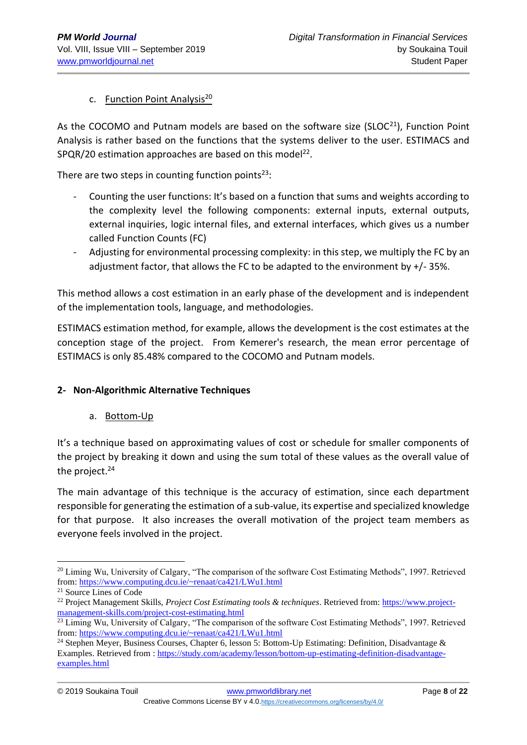## c. Function Point Analysis<sup>20</sup>

As the COCOMO and Putnam models are based on the software size ( $SLOC^{21}$ ), Function Point Analysis is rather based on the functions that the systems deliver to the user. ESTIMACS and  $SPQR/20$  estimation approaches are based on this model<sup>22</sup>.

There are two steps in counting function points $23$ :

- Counting the user functions: It's based on a function that sums and weights according to the complexity level the following components: external inputs, external outputs, external inquiries, logic internal files, and external interfaces, which gives us a number called Function Counts (FC)
- Adjusting for environmental processing complexity: in this step, we multiply the FC by an adjustment factor, that allows the FC to be adapted to the environment by +/- 35%.

This method allows a cost estimation in an early phase of the development and is independent of the implementation tools, language, and methodologies.

ESTIMACS estimation method, for example, allows the development is the cost estimates at the conception stage of the project. From Kemerer's research, the mean error percentage of ESTIMACS is only 85.48% compared to the COCOMO and Putnam models.

## **2- Non-Algorithmic Alternative Techniques**

#### a. Bottom-Up

It's a technique based on approximating values of cost or schedule for smaller components of the project by breaking it down and using the sum total of these values as the overall value of the project.<sup>24</sup>

The main advantage of this technique is the accuracy of estimation, since each department responsible for generating the estimation of a sub-value, its expertise and specialized knowledge for that purpose. It also increases the overall motivation of the project team members as everyone feels involved in the project.

<sup>&</sup>lt;sup>20</sup> Liming Wu, University of Calgary, "The comparison of the software Cost Estimating Methods", 1997. Retrieved from[: https://www.computing.dcu.ie/~renaat/ca421/LWu1.html](https://www.computing.dcu.ie/~renaat/ca421/LWu1.html)

<sup>21</sup> Source Lines of Code

<sup>22</sup> Project Management Skills, *Project Cost Estimating tools & techniques*. Retrieved from: [https://www.project](https://www.project-management-skills.com/project-cost-estimating.html)[management-skills.com/project-cost-estimating.html](https://www.project-management-skills.com/project-cost-estimating.html)

<sup>&</sup>lt;sup>23</sup> Liming Wu, University of Calgary, "The comparison of the software Cost Estimating Methods", 1997. Retrieved from[: https://www.computing.dcu.ie/~renaat/ca421/LWu1.html](https://www.computing.dcu.ie/~renaat/ca421/LWu1.html)

<sup>&</sup>lt;sup>24</sup> Stephen Meyer, Business Courses, Chapter 6, lesson 5: Bottom-Up Estimating: Definition, Disadvantage & Examples. Retrieved from : [https://study.com/academy/lesson/bottom-up-estimating-definition-disadvantage](https://study.com/academy/lesson/bottom-up-estimating-definition-disadvantage-examples.html)[examples.html](https://study.com/academy/lesson/bottom-up-estimating-definition-disadvantage-examples.html)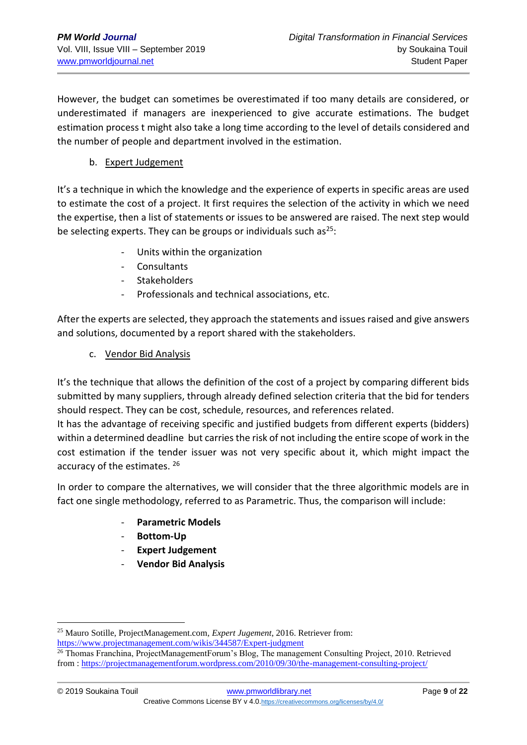However, the budget can sometimes be overestimated if too many details are considered, or underestimated if managers are inexperienced to give accurate estimations. The budget estimation process t might also take a long time according to the level of details considered and the number of people and department involved in the estimation.

## b. Expert Judgement

It's a technique in which the knowledge and the experience of experts in specific areas are used to estimate the cost of a project. It first requires the selection of the activity in which we need the expertise, then a list of statements or issues to be answered are raised. The next step would be selecting experts. They can be groups or individuals such as $^{25}$ :

- Units within the organization
- Consultants
- **Stakeholders**
- Professionals and technical associations, etc.

After the experts are selected, they approach the statements and issues raised and give answers and solutions, documented by a report shared with the stakeholders.

c. Vendor Bid Analysis

It's the technique that allows the definition of the cost of a project by comparing different bids submitted by many suppliers, through already defined selection criteria that the bid for tenders should respect. They can be cost, schedule, resources, and references related.

It has the advantage of receiving specific and justified budgets from different experts (bidders) within a determined deadline but carries the risk of not including the entire scope of work in the cost estimation if the tender issuer was not very specific about it, which might impact the accuracy of the estimates. <sup>26</sup>

In order to compare the alternatives, we will consider that the three algorithmic models are in fact one single methodology, referred to as Parametric. Thus, the comparison will include:

- **Parametric Models**
- **Bottom-Up**
- **Expert Judgement**
- **Vendor Bid Analysis**

<sup>25</sup> Mauro Sotille, ProjectManagement.com, *Expert Jugement*, 2016. Retriever from: <https://www.projectmanagement.com/wikis/344587/Expert-judgment>

<sup>&</sup>lt;sup>26</sup> Thomas Franchina, ProjectManagementForum's Blog, The management Consulting Project, 2010. Retrieved from :<https://projectmanagementforum.wordpress.com/2010/09/30/the-management-consulting-project/>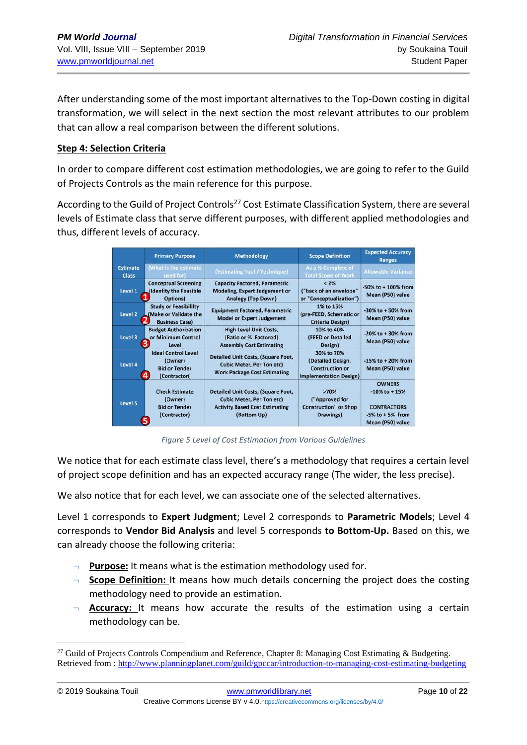After understanding some of the most important alternatives to the Top-Down costing in digital transformation, we will select in the next section the most relevant attributes to our problem that can allow a real comparison between the different solutions.

## **Step 4: Selection Criteria**

In order to compare different cost estimation methodologies, we are going to refer to the Guild of Projects Controls as the main reference for this purpose.

According to the Guild of Project Controls<sup>27</sup> Cost Estimate Classification System, there are several levels of Estimate class that serve different purposes, with different applied methodologies and thus, different levels of accuracy.

|                                 | <b>Primary Purpose</b>                                                        | <b>Methodology</b>                                                                                                             | <b>Scope Definition</b>                                                                    | <b>Expected Accuracy</b><br><b>Ranges</b>                                                              |
|---------------------------------|-------------------------------------------------------------------------------|--------------------------------------------------------------------------------------------------------------------------------|--------------------------------------------------------------------------------------------|--------------------------------------------------------------------------------------------------------|
| <b>Estimate</b><br><b>Class</b> | (What is the estimate<br>used for)                                            | (Estimating Tool / Technique)                                                                                                  | As a % Complete of<br><b>Total Scope of Work</b>                                           | <b>Allowable Variance</b>                                                                              |
| Level 1                         | <b>Conceptual Screening</b><br>(Idenfity the Feasible<br>Options)             | <b>Capacity Factored, Parametric</b><br>Modeling, Expert Judgement or<br><b>Analogy (Top Down)</b>                             | $< 2\%$<br>("back of an envelope"<br>or "Conceptualization")                               | $-50\%$ to $+100\%$ from<br>Mean (P50) value                                                           |
| Level 2                         | <b>Study or Feasibililty</b><br>Make or Validate the<br><b>Business Case)</b> | <b>Equipment Factored, Parametric</b><br><b>Model or Expert Judgement</b>                                                      | 1% to 15%<br>(pre-FEED, Schematic or<br>Criteria Design)                                   | $-30\%$ to $+50\%$ from<br>Mean (P50) value                                                            |
| Level 3                         | <b>Budget Authorization</b><br>or Minimum Control<br>Level                    | <b>High Level Unit Costs,</b><br>(Ratio or % Factored)<br><b>Assembly Cost Estimating</b>                                      | 10% to 40%<br>(FEED or Detailed<br>Design)                                                 | $-20\%$ to $+30\%$ from<br>Mean (P50) value                                                            |
| Level 4                         | <b>Ideal Control Level</b><br>(Owner)<br><b>Bid or Tender</b><br>(Contractor( | Detailed Unit Costs, (Square Foot,<br><b>Cubic Meter, Per Ton etc)</b><br><b>Work Package Cost Estimating</b>                  | 30% to 70%<br>(Detailed Design,<br><b>Construction or</b><br><b>Implementation Design)</b> | $-15%$ to $+20%$ from<br>Mean (P50) value                                                              |
| Level 5                         | <b>Check Estimate</b><br>(Owner)<br><b>Bid or Tender</b><br>(Contractor)      | Detailed Unit Costs, (Square Foot,<br><b>Cubic Meter, Per Ton etc)</b><br><b>Activity Based Cost Estimating</b><br>(Bottom Up) | >70%<br>("Approved for<br><b>Construction"</b> or Shop<br>Drawings)                        | <b>OWNERS</b><br>$-10\%$ to $+15\%$<br><b>CONTRACTORS</b><br>$-5\%$ to $+5\%$ from<br>Mean (P50) value |

*Figure 5 Level of Cost Estimation from Various Guidelines*

We notice that for each estimate class level, there's a methodology that requires a certain level of project scope definition and has an expected accuracy range (The wider, the less precise).

We also notice that for each level, we can associate one of the selected alternatives.

Level 1 corresponds to **Expert Judgment**; Level 2 corresponds to **Parametric Models**; Level 4 corresponds to **Vendor Bid Analysis** and level 5 corresponds **to Bottom-Up.** Based on this, we can already choose the following criteria:

- ¬ **Purpose:** It means what is the estimation methodology used for.
- ¬ **Scope Definition:** It means how much details concerning the project does the costing methodology need to provide an estimation.
- Accuracy: It means how accurate the results of the estimation using a certain methodology can be.

<sup>&</sup>lt;sup>27</sup> Guild of Projects Controls Compendium and Reference, Chapter 8: Managing Cost Estimating & Budgeting. Retrieved from :<http://www.planningplanet.com/guild/gpccar/introduction-to-managing-cost-estimating-budgeting>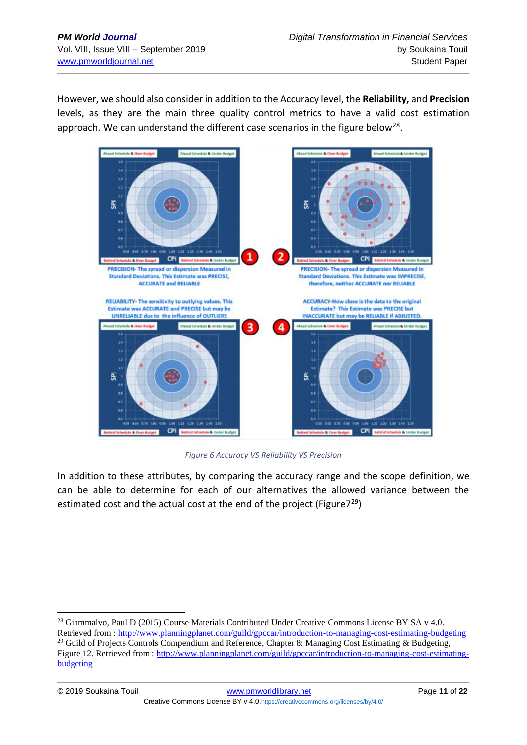However, we should also consider in addition to the Accuracy level, the **Reliability,** and **Precision** levels, as they are the main three quality control metrics to have a valid cost estimation approach. We can understand the different case scenarios in the figure below<sup>28</sup>.



*Figure 6 Accuracy VS Reliability VS Precision*

In addition to these attributes, by comparing the accuracy range and the scope definition, we can be able to determine for each of our alternatives the allowed variance between the estimated cost and the actual cost at the end of the project (Figure $7^{29}$ )

<sup>&</sup>lt;sup>28</sup> Giammalvo, Paul D (2015) Course Materials Contributed Under Creative Commons License BY SA v 4.0.

Retrieved from :<http://www.planningplanet.com/guild/gpccar/introduction-to-managing-cost-estimating-budgeting> <sup>29</sup> Guild of Projects Controls Compendium and Reference, Chapter 8: Managing Cost Estimating & Budgeting, Figure 12. Retrieved from : [http://www.planningplanet.com/guild/gpccar/introduction-to-managing-cost-estimating](http://www.planningplanet.com/guild/gpccar/introduction-to-managing-cost-estimating-budgeting)[budgeting](http://www.planningplanet.com/guild/gpccar/introduction-to-managing-cost-estimating-budgeting)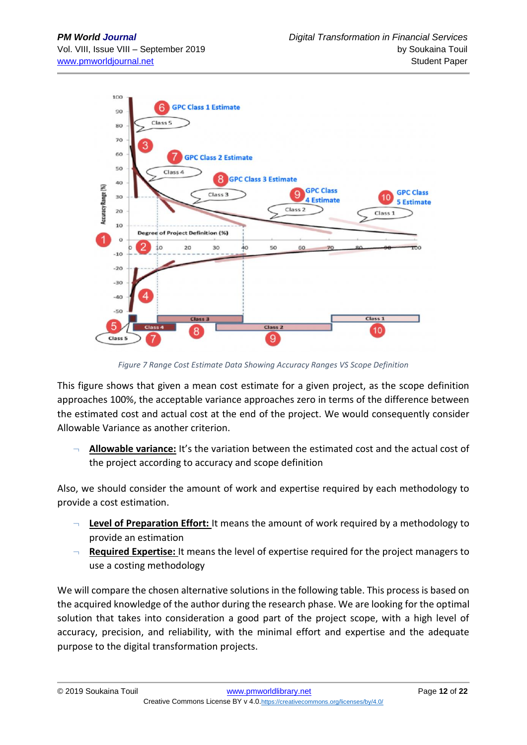

*Figure 7 Range Cost Estimate Data Showing Accuracy Ranges VS Scope Definition*

This figure shows that given a mean cost estimate for a given project, as the scope definition approaches 100%, the acceptable variance approaches zero in terms of the difference between the estimated cost and actual cost at the end of the project. We would consequently consider Allowable Variance as another criterion.

¬ **Allowable variance:** It's the variation between the estimated cost and the actual cost of the project according to accuracy and scope definition

Also, we should consider the amount of work and expertise required by each methodology to provide a cost estimation.

- **Level of Preparation Effort:** It means the amount of work required by a methodology to provide an estimation
- ¬ **Required Expertise:** It means the level of expertise required for the project managers to use a costing methodology

We will compare the chosen alternative solutions in the following table. This process is based on the acquired knowledge of the author during the research phase. We are looking for the optimal solution that takes into consideration a good part of the project scope, with a high level of accuracy, precision, and reliability, with the minimal effort and expertise and the adequate purpose to the digital transformation projects.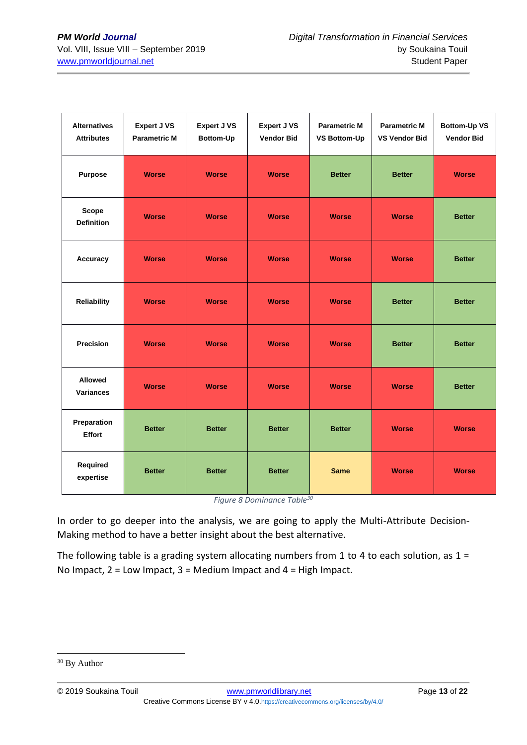| <b>Alternatives</b><br><b>Attributes</b> | <b>Expert J VS</b><br><b>Parametric M</b> | <b>Expert J VS</b><br>Bottom-Up | <b>Expert J VS</b><br><b>Vendor Bid</b> | <b>Parametric M</b><br><b>VS Bottom-Up</b> | <b>Parametric M</b><br><b>VS Vendor Bid</b> | <b>Bottom-Up VS</b><br><b>Vendor Bid</b> |
|------------------------------------------|-------------------------------------------|---------------------------------|-----------------------------------------|--------------------------------------------|---------------------------------------------|------------------------------------------|
| Purpose                                  | <b>Worse</b>                              | <b>Worse</b>                    | <b>Worse</b>                            | <b>Better</b>                              | <b>Better</b>                               | <b>Worse</b>                             |
| <b>Scope</b><br><b>Definition</b>        | <b>Worse</b>                              | <b>Worse</b>                    | <b>Worse</b>                            | <b>Worse</b>                               | <b>Worse</b>                                | <b>Better</b>                            |
| Accuracy                                 | <b>Worse</b>                              | <b>Worse</b>                    | <b>Worse</b>                            | <b>Worse</b>                               | <b>Worse</b>                                | <b>Better</b>                            |
| <b>Reliability</b>                       | <b>Worse</b>                              | <b>Worse</b>                    | <b>Worse</b>                            | <b>Worse</b>                               | <b>Better</b>                               | <b>Better</b>                            |
| <b>Precision</b>                         | <b>Worse</b>                              | <b>Worse</b>                    | <b>Worse</b>                            | <b>Worse</b>                               | <b>Better</b>                               | <b>Better</b>                            |
| <b>Allowed</b><br><b>Variances</b>       | <b>Worse</b>                              | <b>Worse</b>                    | <b>Worse</b>                            | <b>Worse</b>                               | <b>Worse</b>                                | <b>Better</b>                            |
| Preparation<br><b>Effort</b>             | <b>Better</b>                             | <b>Better</b>                   | <b>Better</b>                           | <b>Better</b>                              | <b>Worse</b>                                | <b>Worse</b>                             |
| Required<br>expertise                    | <b>Better</b>                             | <b>Better</b>                   | <b>Better</b>                           | <b>Same</b>                                | <b>Worse</b>                                | <b>Worse</b>                             |

*Figure 8 Dominance Table<sup>30</sup>*

In order to go deeper into the analysis, we are going to apply the Multi-Attribute Decision-Making method to have a better insight about the best alternative.

The following table is a grading system allocating numbers from 1 to 4 to each solution, as  $1 =$ No Impact, 2 = Low Impact, 3 = Medium Impact and 4 = High Impact.

<sup>&</sup>lt;sup>30</sup> By Author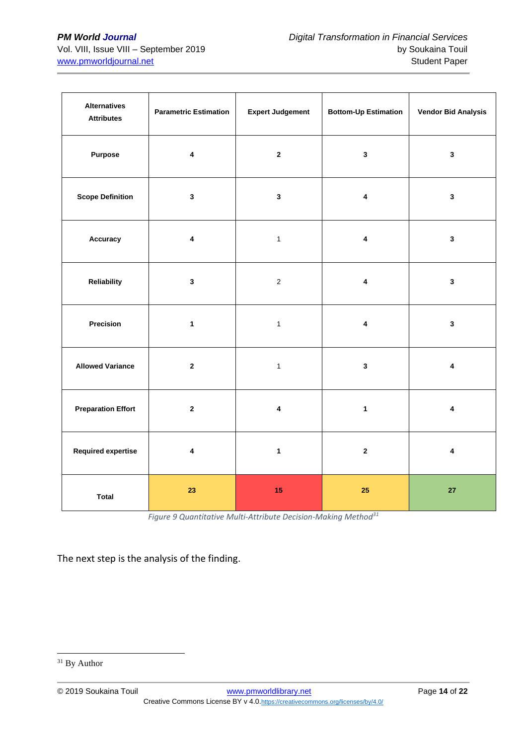| <b>Alternatives</b><br><b>Attributes</b> | <b>Parametric Estimation</b> | <b>Expert Judgement</b> | <b>Bottom-Up Estimation</b> | <b>Vendor Bid Analysis</b> |  |
|------------------------------------------|------------------------------|-------------------------|-----------------------------|----------------------------|--|
| Purpose                                  | $\overline{\mathbf{4}}$      | $\mathbf{2}$            | $\mathbf{3}$                | $\mathbf{3}$               |  |
| <b>Scope Definition</b>                  | $\mathbf{3}$                 | $\mathbf{3}$            | $\overline{\mathbf{4}}$     | $\mathbf{3}$               |  |
| Accuracy                                 | $\pmb{4}$                    | $\mathbf{1}$            | $\pmb{4}$                   | $\mathbf 3$                |  |
| Reliability                              | $\mathbf{3}$                 | $\mathbf 2$             | $\pmb{4}$                   | $\mathbf{3}$               |  |
| Precision                                | $\mathbf{1}$                 | $\mathbf{1}$            | $\overline{\mathbf{4}}$     | $\mathbf{3}$               |  |
| <b>Allowed Variance</b>                  | $\mathbf 2$                  | $\mathbf{1}$            | $\mathbf{3}$                | $\overline{\mathbf{4}}$    |  |
| <b>Preparation Effort</b>                | $\bf 2$                      | $\overline{\mathbf{4}}$ | $\mathbf{1}$                |                            |  |
| <b>Required expertise</b>                | $\pmb{4}$                    | $\mathbf{1}$            | $\mathbf 2$                 | $\pmb{4}$                  |  |
| <b>Total</b>                             | 23                           | 15                      | 25                          | 27                         |  |

*Figure 9 Quantitative Multi-Attribute Decision-Making Method<sup>31</sup>*

The next step is the analysis of the finding.

<sup>&</sup>lt;sup>31</sup> By Author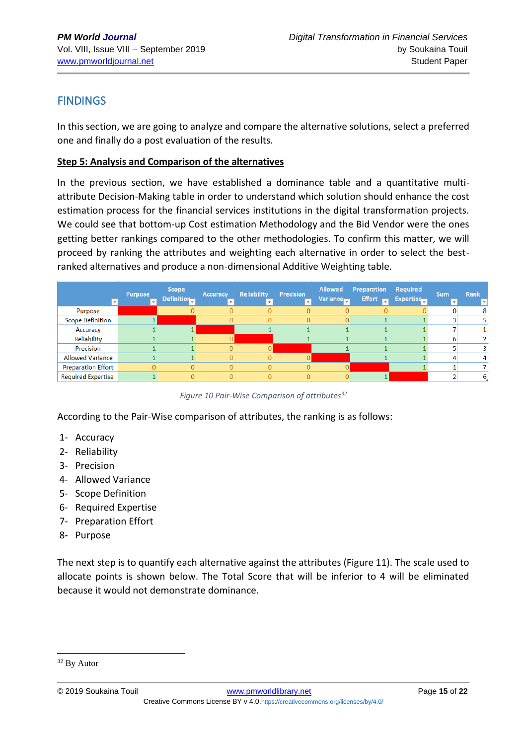# FINDINGS

In this section, we are going to analyze and compare the alternative solutions, select a preferred one and finally do a post evaluation of the results.

## **Step 5: Analysis and Comparison of the alternatives**

In the previous section, we have established a dominance table and a quantitative multiattribute Decision-Making table in order to understand which solution should enhance the cost estimation process for the financial services institutions in the digital transformation projects. We could see that bottom-up Cost estimation Methodology and the Bid Vendor were the ones getting better rankings compared to the other methodologies. To confirm this matter, we will proceed by ranking the attributes and weighting each alternative in order to select the bestranked alternatives and produce a non-dimensional Additive Weighting table.

|                           | <b>Purpose</b><br>$\mathbf{v}$ | Scope<br>Definition | Accuracy<br>$\mathbf{v}$ . | <b>Reliability</b><br>$\overline{\phantom{a}}$ | <b>Precision</b><br>÷ | <b>Allowed</b><br>Variance | <b>Preparation Required</b><br>Effort <b>FR</b> | <b>Expertise</b> | Sum.<br>$\mathbf{v}$ | Rank<br>$\boldsymbol{\mathrm{v}}$ |
|---------------------------|--------------------------------|---------------------|----------------------------|------------------------------------------------|-----------------------|----------------------------|-------------------------------------------------|------------------|----------------------|-----------------------------------|
| Purpose                   |                                |                     |                            |                                                |                       |                            |                                                 |                  |                      | 8                                 |
| <b>Scope Definition</b>   |                                |                     | 0                          |                                                |                       |                            |                                                 |                  |                      |                                   |
| Accuracy                  |                                |                     |                            |                                                |                       |                            |                                                 |                  |                      |                                   |
| Reliability               |                                |                     |                            |                                                |                       |                            |                                                 |                  |                      |                                   |
| Precision                 |                                |                     | $\Omega$                   |                                                |                       |                            |                                                 |                  |                      |                                   |
| <b>Allowed Variance</b>   |                                |                     | $\Omega$                   |                                                |                       |                            |                                                 |                  |                      |                                   |
| <b>Preparation Effort</b> |                                |                     | $\Omega$                   |                                                |                       |                            |                                                 |                  |                      |                                   |
| <b>Required Expertise</b> |                                |                     | $\Omega$                   |                                                |                       |                            |                                                 |                  |                      | 6                                 |

*Figure 10 Pair-Wise Comparison of attributes<sup>32</sup>*

According to the Pair-Wise comparison of attributes, the ranking is as follows:

- 1- Accuracy
- 2- Reliability
- 3- Precision
- 4- Allowed Variance
- 5- Scope Definition
- 6- Required Expertise
- 7- Preparation Effort
- 8- Purpose

The next step is to quantify each alternative against the attributes (Figure 11). The scale used to allocate points is shown below. The Total Score that will be inferior to 4 will be eliminated because it would not demonstrate dominance.

<sup>32</sup> By Autor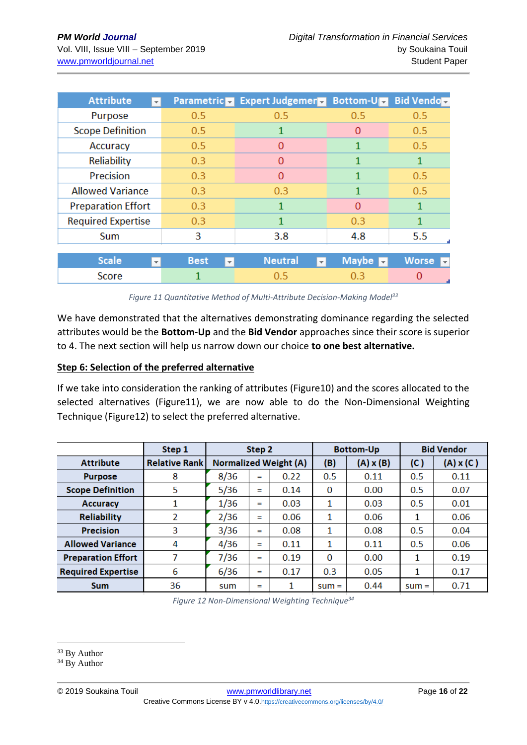| <b>Attribute</b>                         | <b>Parametric</b>           | <b>Expert Judgemer</b>         | <b>Bottom-Up</b>     | <b>Bid Vendole</b>                      |  |
|------------------------------------------|-----------------------------|--------------------------------|----------------------|-----------------------------------------|--|
| Purpose                                  | 0.5                         | 0.5                            | 0.5                  | 0.5                                     |  |
| <b>Scope Definition</b>                  | 0.5                         | 1                              | $\Omega$             | 0.5                                     |  |
| Accuracy                                 | $0.5^{\circ}$               | 0                              |                      | 0.5                                     |  |
| Reliability                              | 0.3                         | $\Omega$                       |                      | 1                                       |  |
| Precision                                | 0.3                         | $\mathbf{0}$                   |                      | 0.5                                     |  |
| <b>Allowed Variance</b>                  | 0.3                         | 0.3                            |                      | 0.5                                     |  |
| <b>Preparation Effort</b>                | 0.3                         | 1                              | $\Omega$             | 1                                       |  |
| <b>Required Expertise</b>                | 0.3                         | 1                              | 0.3                  | 1                                       |  |
| Sum                                      | 3                           | 3.8                            | 4.8                  | 5.5                                     |  |
|                                          |                             |                                |                      |                                         |  |
| <b>Scale</b><br>$\overline{\phantom{a}}$ | <b>Best</b><br>$\mathbf{v}$ | <b>Neutral</b><br>$\mathbf{v}$ | Maybe $\blacksquare$ | <b>Worse</b><br>$\overline{\mathbf{v}}$ |  |
| Score                                    |                             | 0.5                            | 0.3                  | 0                                       |  |

#### *Figure 11 Quantitative Method of Multi-Attribute Decision-Making Model<sup>33</sup>*

We have demonstrated that the alternatives demonstrating dominance regarding the selected attributes would be the **Bottom-Up** and the **Bid Vendor** approaches since their score is superior to 4. The next section will help us narrow down our choice **to one best alternative.**

#### **Step 6: Selection of the preferred alternative**

If we take into consideration the ranking of attributes (Figure10) and the scores allocated to the selected alternatives (Figure11), we are now able to do the Non-Dimensional Weighting Technique (Figure12) to select the preferred alternative.

|                           | Step 1               | Step 2                       |             |          |         | <b>Bottom-Up</b> | <b>Bid Vendor</b> |                  |
|---------------------------|----------------------|------------------------------|-------------|----------|---------|------------------|-------------------|------------------|
| <b>Attribute</b>          | <b>Relative Rank</b> | <b>Normalized Weight (A)</b> |             |          | (B)     | $(A) \times (B)$ | (C)               | $(A) \times (C)$ |
| <b>Purpose</b>            | 8                    | 8/36                         | =           | 0.22     | 0.5     | 0.11             | 0.5               | 0.11             |
| <b>Scope Definition</b>   | 5                    | 5/36                         | $\equiv$    | 0.14     | 0       | 0.00             | 0.5               | 0.07             |
| <b>Accuracy</b>           | 1                    | 1/36                         | =           | 0.03     | 1       | 0.03             | 0.5               | 0.01             |
| <b>Reliability</b>        | 2                    | 2/36                         | 0.06<br>$=$ |          | 1       | 0.06             | 1                 | 0.06             |
| <b>Precision</b>          | 3                    | 3/36                         | $=$         | 0.08     | 1       | 0.08             | 0.5               | 0.04             |
| <b>Allowed Variance</b>   | 4                    | 4/36                         | 0.11<br>$=$ |          | 1       | 0.11             | 0.5               | 0.06             |
| <b>Preparation Effort</b> |                      | 7/36<br>0.19<br>$=$          |             | $\Omega$ | 0.00    | 1                | 0.19              |                  |
| <b>Required Expertise</b> | 6                    | 6/36<br>0.17<br>$=$          |             | 0.3      | 0.05    | 1                | 0.17              |                  |
| <b>Sum</b>                | 36                   | sum                          | =           |          | $sum =$ | 0.44             | $sum =$           | 0.71             |

*Figure 12 Non-Dimensional Weighting Technique<sup>34</sup>*

<sup>&</sup>lt;sup>33</sup> By Author

<sup>&</sup>lt;sup>34</sup> By Author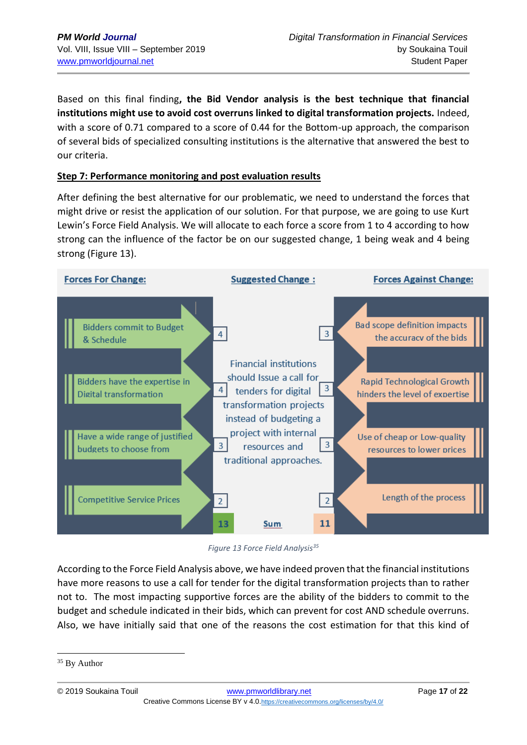Based on this final finding**, the Bid Vendor analysis is the best technique that financial institutions might use to avoid cost overruns linked to digital transformation projects.** Indeed, with a score of 0.71 compared to a score of 0.44 for the Bottom-up approach, the comparison of several bids of specialized consulting institutions is the alternative that answered the best to our criteria.

## **Step 7: Performance monitoring and post evaluation results**

After defining the best alternative for our problematic, we need to understand the forces that might drive or resist the application of our solution. For that purpose, we are going to use Kurt Lewin's Force Field Analysis. We will allocate to each force a score from 1 to 4 according to how strong can the influence of the factor be on our suggested change, 1 being weak and 4 being strong (Figure 13).



*Figure 13 Force Field Analysis<sup>35</sup>*

According to the Force Field Analysis above, we have indeed proven that the financial institutions have more reasons to use a call for tender for the digital transformation projects than to rather not to. The most impacting supportive forces are the ability of the bidders to commit to the budget and schedule indicated in their bids, which can prevent for cost AND schedule overruns. Also, we have initially said that one of the reasons the cost estimation for that this kind of

<sup>&</sup>lt;sup>35</sup> By Author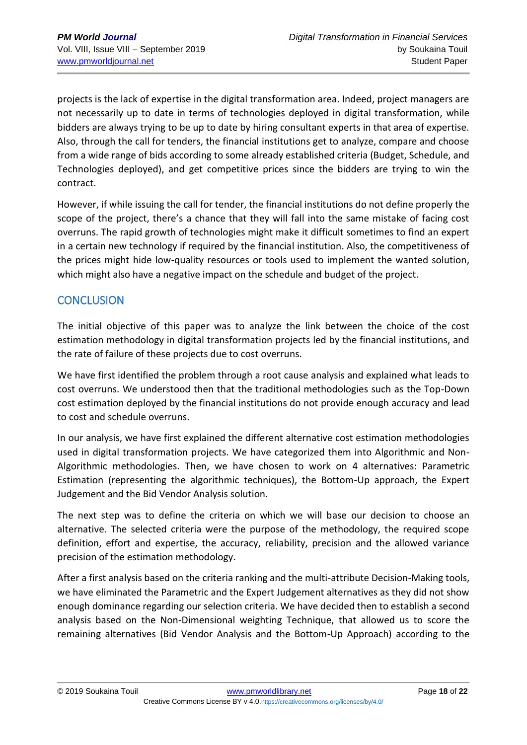projects is the lack of expertise in the digital transformation area. Indeed, project managers are not necessarily up to date in terms of technologies deployed in digital transformation, while bidders are always trying to be up to date by hiring consultant experts in that area of expertise. Also, through the call for tenders, the financial institutions get to analyze, compare and choose from a wide range of bids according to some already established criteria (Budget, Schedule, and Technologies deployed), and get competitive prices since the bidders are trying to win the contract.

However, if while issuing the call for tender, the financial institutions do not define properly the scope of the project, there's a chance that they will fall into the same mistake of facing cost overruns. The rapid growth of technologies might make it difficult sometimes to find an expert in a certain new technology if required by the financial institution. Also, the competitiveness of the prices might hide low-quality resources or tools used to implement the wanted solution, which might also have a negative impact on the schedule and budget of the project.

# **CONCLUSION**

The initial objective of this paper was to analyze the link between the choice of the cost estimation methodology in digital transformation projects led by the financial institutions, and the rate of failure of these projects due to cost overruns.

We have first identified the problem through a root cause analysis and explained what leads to cost overruns. We understood then that the traditional methodologies such as the Top-Down cost estimation deployed by the financial institutions do not provide enough accuracy and lead to cost and schedule overruns.

In our analysis, we have first explained the different alternative cost estimation methodologies used in digital transformation projects. We have categorized them into Algorithmic and Non-Algorithmic methodologies. Then, we have chosen to work on 4 alternatives: Parametric Estimation (representing the algorithmic techniques), the Bottom-Up approach, the Expert Judgement and the Bid Vendor Analysis solution.

The next step was to define the criteria on which we will base our decision to choose an alternative. The selected criteria were the purpose of the methodology, the required scope definition, effort and expertise, the accuracy, reliability, precision and the allowed variance precision of the estimation methodology.

After a first analysis based on the criteria ranking and the multi-attribute Decision-Making tools, we have eliminated the Parametric and the Expert Judgement alternatives as they did not show enough dominance regarding our selection criteria. We have decided then to establish a second analysis based on the Non-Dimensional weighting Technique, that allowed us to score the remaining alternatives (Bid Vendor Analysis and the Bottom-Up Approach) according to the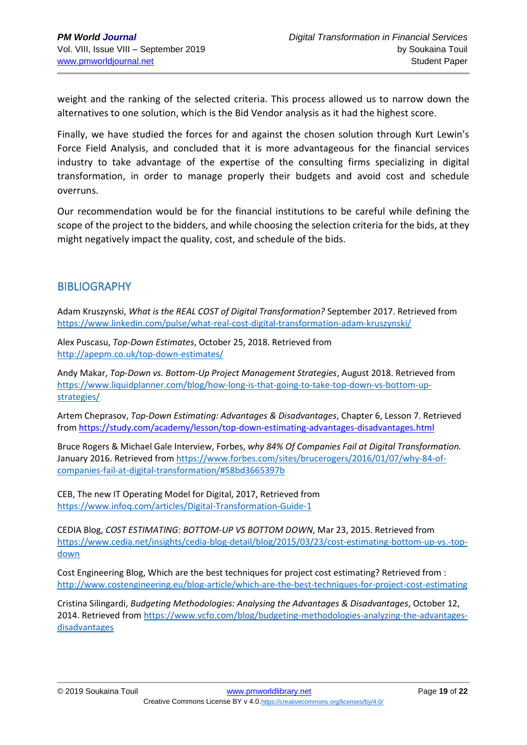weight and the ranking of the selected criteria. This process allowed us to narrow down the alternatives to one solution, which is the Bid Vendor analysis as it had the highest score.

Finally, we have studied the forces for and against the chosen solution through Kurt Lewin's Force Field Analysis, and concluded that it is more advantageous for the financial services industry to take advantage of the expertise of the consulting firms specializing in digital transformation, in order to manage properly their budgets and avoid cost and schedule overruns.

Our recommendation would be for the financial institutions to be careful while defining the scope of the project to the bidders, and while choosing the selection criteria for the bids, at they might negatively impact the quality, cost, and schedule of the bids.

# **BIBLIOGRAPHY**

Adam Kruszynski, *What is the REAL COST of Digital Transformation?* September 2017. Retrieved from <https://www.linkedin.com/pulse/what-real-cost-digital-transformation-adam-kruszynski/>

Alex Puscasu, *Top-Down Estimates*, October 25, 2018. Retrieved from <http://apepm.co.uk/top-down-estimates/>

Andy Makar, *Top-Down vs. Bottom-Up Project Management Strategies*, August 2018. Retrieved from [https://www.liquidplanner.com/blog/how-long-is-that-going-to-take-top-down-vs-bottom-up](https://www.liquidplanner.com/blog/how-long-is-that-going-to-take-top-down-vs-bottom-up-strategies/)[strategies/](https://www.liquidplanner.com/blog/how-long-is-that-going-to-take-top-down-vs-bottom-up-strategies/)

Artem Cheprasov, *Top-Down Estimating: Advantages & Disadvantages*, Chapter 6, Lesson 7. Retrieved from<https://study.com/academy/lesson/top-down-estimating-advantages-disadvantages.html>

Bruce Rogers & Michael Gale Interview, Forbes, *why 84% Of Companies Fail at Digital Transformation.*  January 2016. Retrieved from [https://www.forbes.com/sites/brucerogers/2016/01/07/why-84-of](https://www.forbes.com/sites/brucerogers/2016/01/07/why-84-of-companies-fail-at-digital-transformation/#58bd3665397b)[companies-fail-at-digital-transformation/#58bd3665397b](https://www.forbes.com/sites/brucerogers/2016/01/07/why-84-of-companies-fail-at-digital-transformation/#58bd3665397b)

CEB, The new IT Operating Model for Digital, 2017, Retrieved from <https://www.infoq.com/articles/Digital-Transformation-Guide-1>

CEDIA Blog, *COST ESTIMATING: BOTTOM-UP VS BOTTOM DOWN*, Mar 23, 2015. Retrieved from [https://www.cedia.net/insights/cedia-blog-detail/blog/2015/03/23/cost-estimating-bottom-up-vs.-top](https://www.cedia.net/insights/cedia-blog-detail/blog/2015/03/23/cost-estimating-bottom-up-vs.-top-down)[down](https://www.cedia.net/insights/cedia-blog-detail/blog/2015/03/23/cost-estimating-bottom-up-vs.-top-down)

Cost Engineering Blog, Which are the best techniques for project cost estimating? Retrieved from : <http://www.costengineering.eu/blog-article/which-are-the-best-techniques-for-project-cost-estimating>

Cristina Silingardi, *Budgeting Methodologies: Analysing the Advantages & Disadvantages*, October 12, 2014. Retrieved from [https://www.vcfo.com/blog/budgeting-methodologies-analyzing-the-advantages](https://www.vcfo.com/blog/budgeting-methodologies-analyzing-the-advantages-disadvantages)[disadvantages](https://www.vcfo.com/blog/budgeting-methodologies-analyzing-the-advantages-disadvantages)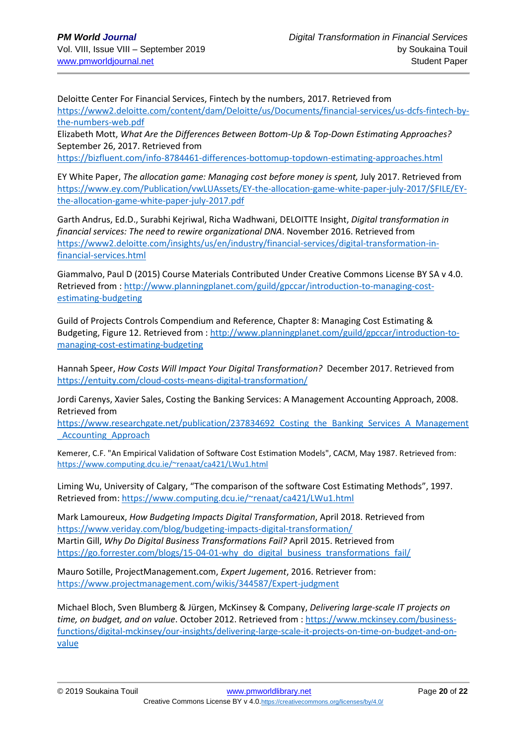Deloitte Center For Financial Services, Fintech by the numbers, 2017. Retrieved from [https://www2.deloitte.com/content/dam/Deloitte/us/Documents/financial-services/us-dcfs-fintech-by](https://www2.deloitte.com/content/dam/Deloitte/us/Documents/financial-services/us-dcfs-fintech-by-the-numbers-web.pdf)[the-numbers-web.pdf](https://www2.deloitte.com/content/dam/Deloitte/us/Documents/financial-services/us-dcfs-fintech-by-the-numbers-web.pdf)

Elizabeth Mott, *What Are the Differences Between Bottom-Up & Top-Down Estimating Approaches?* September 26, 2017. Retrieved from

<https://bizfluent.com/info-8784461-differences-bottomup-topdown-estimating-approaches.html>

EY White Paper, *The allocation game: Managing cost before money is spent,* July 2017. Retrieved from [https://www.ey.com/Publication/vwLUAssets/EY-the-allocation-game-white-paper-july-2017/\\$FILE/EY](https://www.ey.com/Publication/vwLUAssets/EY-the-allocation-game-white-paper-july-2017/$FILE/EY-the-allocation-game-white-paper-july-2017.pdf)[the-allocation-game-white-paper-july-2017.pdf](https://www.ey.com/Publication/vwLUAssets/EY-the-allocation-game-white-paper-july-2017/$FILE/EY-the-allocation-game-white-paper-july-2017.pdf)

Garth Andrus, Ed.D., Surabhi Kejriwal, Richa Wadhwani, DELOITTE Insight, *Digital transformation in financial services: The need to rewire organizational DNA*. November 2016. Retrieved from [https://www2.deloitte.com/insights/us/en/industry/financial-services/digital-transformation-in](https://www2.deloitte.com/insights/us/en/industry/financial-services/digital-transformation-in-financial-services.html)[financial-services.html](https://www2.deloitte.com/insights/us/en/industry/financial-services/digital-transformation-in-financial-services.html)

Giammalvo, Paul D (2015) Course Materials Contributed Under Creative Commons License BY SA v 4.0. Retrieved from : [http://www.planningplanet.com/guild/gpccar/introduction-to-managing-cost](http://www.planningplanet.com/guild/gpccar/introduction-to-managing-cost-estimating-budgeting)[estimating-budgeting](http://www.planningplanet.com/guild/gpccar/introduction-to-managing-cost-estimating-budgeting)

Guild of Projects Controls Compendium and Reference, Chapter 8: Managing Cost Estimating & Budgeting, Figure 12. Retrieved from : [http://www.planningplanet.com/guild/gpccar/introduction-to](http://www.planningplanet.com/guild/gpccar/introduction-to-managing-cost-estimating-budgeting)[managing-cost-estimating-budgeting](http://www.planningplanet.com/guild/gpccar/introduction-to-managing-cost-estimating-budgeting)

Hannah Speer, *How Costs Will Impact Your Digital Transformation?* December 2017. Retrieved from https://entuity.com/cloud-costs-means-digital-transformation/

Jordi Carenys, Xavier Sales, Costing the Banking Services: A Management Accounting Approach, 2008. Retrieved from

https://www.researchgate.net/publication/237834692 Costing the Banking Services A Management Accounting Approach

Kemerer, C.F. "An Empirical Validation of Software Cost Estimation Models", CACM, May 1987. Retrieved from: <https://www.computing.dcu.ie/~renaat/ca421/LWu1.html>

Liming Wu, University of Calgary, "The comparison of the software Cost Estimating Methods", 1997. Retrieved from[: https://www.computing.dcu.ie/~renaat/ca421/LWu1.html](https://www.computing.dcu.ie/~renaat/ca421/LWu1.html)

Mark Lamoureux, *How Budgeting Impacts Digital Transformation*, April 2018. Retrieved from <https://www.veriday.com/blog/budgeting-impacts-digital-transformation/> Martin Gill, *Why Do Digital Business Transformations Fail?* April 2015. Retrieved from [https://go.forrester.com/blogs/15-04-01-why\\_do\\_digital\\_business\\_transformations\\_fail/](https://go.forrester.com/blogs/15-04-01-why_do_digital_business_transformations_fail/)

Mauro Sotille, ProjectManagement.com, *Expert Jugement*, 2016. Retriever from: <https://www.projectmanagement.com/wikis/344587/Expert-judgment>

Michael Bloch, Sven Blumberg & Jürgen, McKinsey & Company, *Delivering large-scale IT projects on time, on budget, and on value*. October 2012. Retrieved from : [https://www.mckinsey.com/business](https://www.mckinsey.com/business-functions/digital-mckinsey/our-insights/delivering-large-scale-it-projects-on-time-on-budget-and-on-value)[functions/digital-mckinsey/our-insights/delivering-large-scale-it-projects-on-time-on-budget-and-on](https://www.mckinsey.com/business-functions/digital-mckinsey/our-insights/delivering-large-scale-it-projects-on-time-on-budget-and-on-value)[value](https://www.mckinsey.com/business-functions/digital-mckinsey/our-insights/delivering-large-scale-it-projects-on-time-on-budget-and-on-value)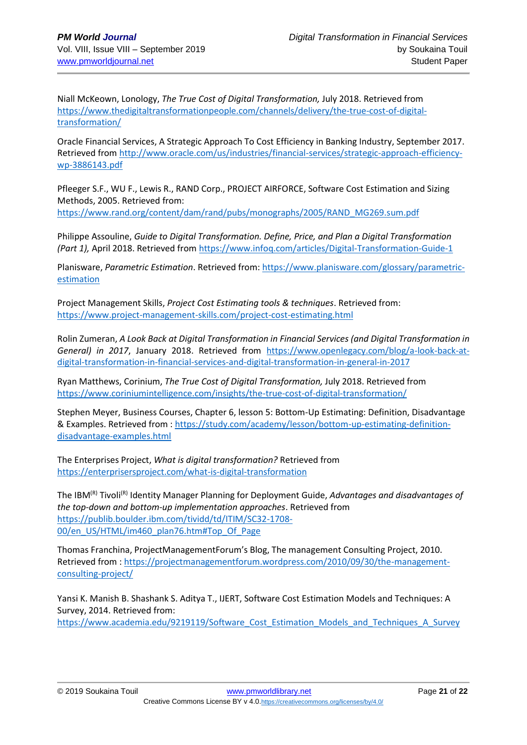Niall McKeown, Lonology, *The True Cost of Digital Transformation,* July 2018. Retrieved from [https://www.thedigitaltransformationpeople.com/channels/delivery/the-true-cost-of-digital](https://www.thedigitaltransformationpeople.com/channels/delivery/the-true-cost-of-digital-transformation/)[transformation/](https://www.thedigitaltransformationpeople.com/channels/delivery/the-true-cost-of-digital-transformation/)

Oracle Financial Services, A Strategic Approach To Cost Efficiency in Banking Industry, September 2017. Retrieved fro[m http://www.oracle.com/us/industries/financial-services/strategic-approach-efficiency](http://www.oracle.com/us/industries/financial-services/strategic-approach-efficiency-wp-3886143.pdf)[wp-3886143.pdf](http://www.oracle.com/us/industries/financial-services/strategic-approach-efficiency-wp-3886143.pdf)

Pfleeger S.F., WU F., Lewis R., RAND Corp., PROJECT AIRFORCE, Software Cost Estimation and Sizing Methods, 2005. Retrieved from: [https://www.rand.org/content/dam/rand/pubs/monographs/2005/RAND\\_MG269.sum.pdf](https://www.rand.org/content/dam/rand/pubs/monographs/2005/RAND_MG269.sum.pdf)

Philippe Assouline, *Guide to Digital Transformation. Define, Price, and Plan a Digital Transformation (Part 1),* April 2018. Retrieved fro[m https://www.infoq.com/articles/Digital-Transformation-Guide-1](https://www.infoq.com/articles/Digital-Transformation-Guide-1)

Planisware, *Parametric Estimation*. Retrieved from: [https://www.planisware.com/glossary/parametric](https://www.planisware.com/glossary/parametric-estimation)[estimation](https://www.planisware.com/glossary/parametric-estimation)

Project Management Skills, *Project Cost Estimating tools & techniques*. Retrieved from: <https://www.project-management-skills.com/project-cost-estimating.html>

Rolin Zumeran, *A Look Back at Digital Transformation in Financial Services (and Digital Transformation in General) in 2017*, January 2018. Retrieved from [https://www.openlegacy.com/blog/a-look-back-at](https://www.openlegacy.com/blog/a-look-back-at-digital-transformation-in-financial-services-and-digital-transformation-in-general-in-2017)[digital-transformation-in-financial-services-and-digital-transformation-in-general-in-2017](https://www.openlegacy.com/blog/a-look-back-at-digital-transformation-in-financial-services-and-digital-transformation-in-general-in-2017)

Ryan Matthews, Corinium, *The True Cost of Digital Transformation,* July 2018. Retrieved from <https://www.coriniumintelligence.com/insights/the-true-cost-of-digital-transformation/>

Stephen Meyer, Business Courses, Chapter 6, lesson 5: Bottom-Up Estimating: Definition, Disadvantage & Examples. Retrieved from [: https://study.com/academy/lesson/bottom-up-estimating-definition](https://study.com/academy/lesson/bottom-up-estimating-definition-disadvantage-examples.html)[disadvantage-examples.html](https://study.com/academy/lesson/bottom-up-estimating-definition-disadvantage-examples.html)

The Enterprises Project, *What is digital transformation?* Retrieved from <https://enterprisersproject.com/what-is-digital-transformation>

The IBM<sup>(R)</sup> Tivoli<sup>(R)</sup> Identity Manager Planning for Deployment Guide, *Advantages and disadvantages of the top-down and bottom-up implementation approaches*. Retrieved from [https://publib.boulder.ibm.com/tividd/td/ITIM/SC32-1708-](https://publib.boulder.ibm.com/tividd/td/ITIM/SC32-1708-00/en_US/HTML/im460_plan76.htm#Top_Of_Page) [00/en\\_US/HTML/im460\\_plan76.htm#Top\\_Of\\_Page](https://publib.boulder.ibm.com/tividd/td/ITIM/SC32-1708-00/en_US/HTML/im460_plan76.htm#Top_Of_Page)

Thomas Franchina, ProjectManagementForum's Blog, The management Consulting Project, 2010. Retrieved from : [https://projectmanagementforum.wordpress.com/2010/09/30/the-management](https://projectmanagementforum.wordpress.com/2010/09/30/the-management-consulting-project/)[consulting-project/](https://projectmanagementforum.wordpress.com/2010/09/30/the-management-consulting-project/) 

Yansi K. Manish B. Shashank S. Aditya T., IJERT, Software Cost Estimation Models and Techniques: A Survey, 2014. Retrieved from: [https://www.academia.edu/9219119/Software\\_Cost\\_Estimation\\_Models\\_and\\_Techniques\\_A\\_Survey](https://www.academia.edu/9219119/Software_Cost_Estimation_Models_and_Techniques_A_Survey)